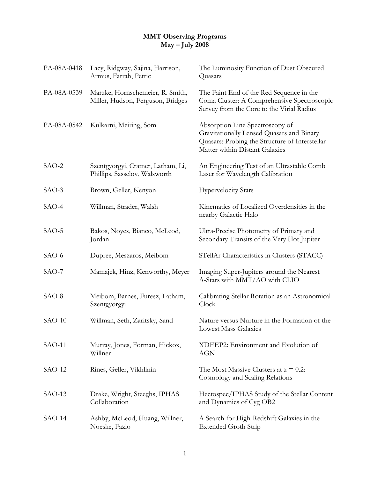## **MMT Observing Programs May – July 2008**

| PA-08A-0418 | Lacy, Ridgway, Sajina, Harrison,<br>Armus, Farrah, Petric             | The Luminosity Function of Dust Obscured<br>Quasars                                                                                                              |
|-------------|-----------------------------------------------------------------------|------------------------------------------------------------------------------------------------------------------------------------------------------------------|
| PA-08A-0539 | Marzke, Hornschemeier, R. Smith,<br>Miller, Hudson, Ferguson, Bridges | The Faint End of the Red Sequence in the<br>Coma Cluster: A Comprehensive Spectroscopic<br>Survey from the Core to the Virial Radius                             |
| PA-08A-0542 | Kulkarni, Meiring, Som                                                | Absorption Line Spectroscopy of<br>Gravitationally Lensed Quasars and Binary<br>Quasars: Probing the Structure of Interstellar<br>Matter within Distant Galaxies |
| SAO-2       | Szentgyorgyi, Cramer, Latham, Li,<br>Phillips, Sasselov, Walsworth    | An Engineering Test of an Ultrastable Comb<br>Laser for Wavelength Calibration                                                                                   |
| $SAO-3$     | Brown, Geller, Kenyon                                                 | <b>Hypervelocity Stars</b>                                                                                                                                       |
| $SAO-4$     | Willman, Strader, Walsh                                               | Kinematics of Localized Overdensities in the<br>nearby Galactic Halo                                                                                             |
| SAO-5       | Bakos, Noyes, Bianco, McLeod,<br>Jordan                               | Ultra-Precise Photometry of Primary and<br>Secondary Transits of the Very Hot Jupiter                                                                            |
| $SAO-6$     | Dupree, Meszaros, Meibom                                              | STellAr Characteristics in Clusters (STACC)                                                                                                                      |
| $SAO-7$     | Mamajek, Hinz, Kenworthy, Meyer                                       | Imaging Super-Jupiters around the Nearest<br>A-Stars with MMT/AO with CLIO                                                                                       |
| SAO-8       | Meibom, Barnes, Furesz, Latham,<br>Szentgyorgyi                       | Calibrating Stellar Rotation as an Astronomical<br>Clock                                                                                                         |
| $SAO-10$    | Willman, Seth, Zaritsky, Sand                                         | Nature versus Nurture in the Formation of the<br><b>Lowest Mass Galaxies</b>                                                                                     |
| $SAO-11$    | Murray, Jones, Forman, Hickox,<br>Willner                             | XDEEP2: Environment and Evolution of<br><b>AGN</b>                                                                                                               |
| $SAO-12$    | Rines, Geller, Vikhlinin                                              | The Most Massive Clusters at $z = 0.2$ :<br>Cosmology and Scaling Relations                                                                                      |
| $SAO-13$    | Drake, Wright, Steeghs, IPHAS<br>Collaboration                        | Hectospec/IPHAS Study of the Stellar Content<br>and Dynamics of Cyg OB2                                                                                          |
| $SAO-14$    | Ashby, McLeod, Huang, Willner,<br>Noeske, Fazio                       | A Search for High-Redshift Galaxies in the<br><b>Extended Groth Strip</b>                                                                                        |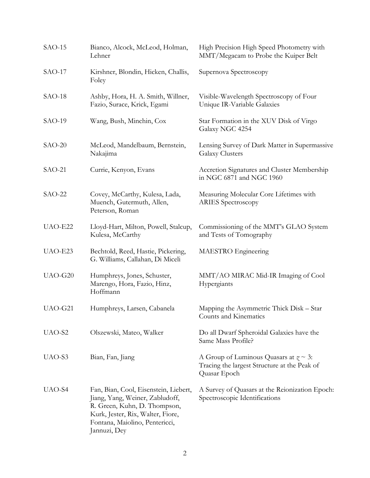| $SAO-15$ | Bianco, Alcock, McLeod, Holman,<br>Lehner                                                                                                                                                       | High Precision High Speed Photometry with<br>MMT/Megacam to Probe the Kuiper Belt                                |
|----------|-------------------------------------------------------------------------------------------------------------------------------------------------------------------------------------------------|------------------------------------------------------------------------------------------------------------------|
| $SAO-17$ | Kirshner, Blondin, Hicken, Challis,<br>Foley                                                                                                                                                    | Supernova Spectroscopy                                                                                           |
| $SAO-18$ | Ashby, Hora, H. A. Smith, Willner,<br>Fazio, Surace, Krick, Egami                                                                                                                               | Visible-Wavelength Spectroscopy of Four<br>Unique IR-Variable Galaxies                                           |
| $SAO-19$ | Wang, Bush, Minchin, Cox                                                                                                                                                                        | Star Formation in the XUV Disk of Virgo<br>Galaxy NGC 4254                                                       |
| $SAO-20$ | McLeod, Mandelbaum, Bernstein,<br>Nakajima                                                                                                                                                      | Lensing Survey of Dark Matter in Supermassive<br><b>Galaxy Clusters</b>                                          |
| $SAO-21$ | Currie, Kenyon, Evans                                                                                                                                                                           | Accretion Signatures and Cluster Membership<br>in NGC 6871 and NGC 1960                                          |
| $SAO-22$ | Covey, McCarthy, Kulesa, Lada,<br>Muench, Gutermuth, Allen,<br>Peterson, Roman                                                                                                                  | Measuring Molecular Core Lifetimes with<br><b>ARIES Spectroscopy</b>                                             |
| UAO-E22  | Lloyd-Hart, Milton, Powell, Stalcup,<br>Kulesa, McCarthy                                                                                                                                        | Commissioning of the MMT's GLAO System<br>and Tests of Tomography                                                |
| UAO-E23  | Bechtold, Reed, Hastie, Pickering,<br>G. Williams, Callahan, Di Miceli                                                                                                                          | MAESTRO Engineering                                                                                              |
| UAO-G20  | Humphreys, Jones, Schuster,<br>Marengo, Hora, Fazio, Hinz,<br>Hoffmann                                                                                                                          | MMT/AO MIRAC Mid-IR Imaging of Cool<br>Hypergiants                                                               |
| UAO-G21  | Humphreys, Larsen, Cabanela                                                                                                                                                                     | Mapping the Asymmetric Thick Disk – Star<br>Counts and Kinematics                                                |
| UAO-S2   | Olszewski, Mateo, Walker                                                                                                                                                                        | Do all Dwarf Spheroidal Galaxies have the<br>Same Mass Profile?                                                  |
| UAO-S3   | Bian, Fan, Jiang                                                                                                                                                                                | A Group of Luminous Quasars at $\gamma \sim 3$ :<br>Tracing the largest Structure at the Peak of<br>Quasar Epoch |
| UAO-S4   | Fan, Bian, Cool, Eisenstein, Liebert,<br>Jiang, Yang, Weiner, Zabludoff,<br>R. Green, Kuhn, D. Thompson,<br>Kurk, Jester, Rix, Walter, Fiore,<br>Fontana, Maiolino, Pentericci,<br>Jannuzi, Dey | A Survey of Quasars at the Reionization Epoch:<br>Spectroscopic Identifications                                  |